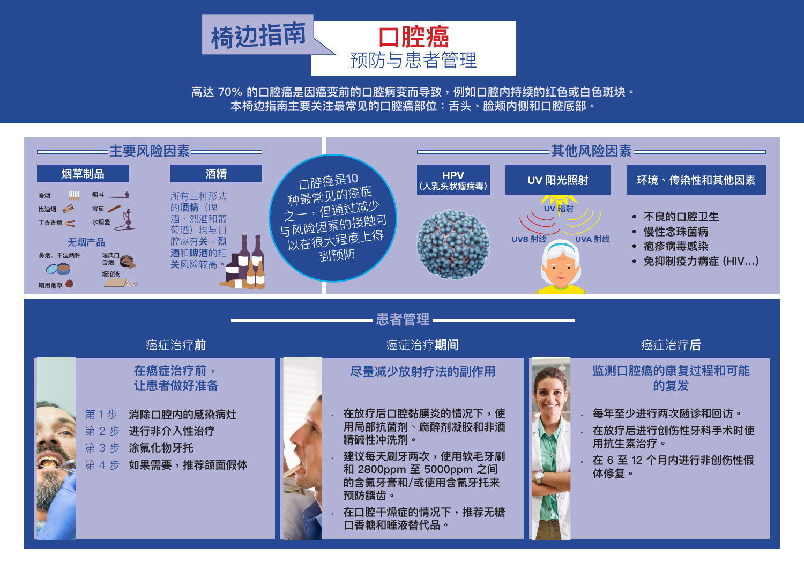**高达 70% 的口腔癌是因癌变前的口腔病变而导致,例如口腔内持续的红色或白色斑块。 本椅边指南主要关注最常见的口腔癌部位:舌头、脸颊内侧和口腔底部。**



**200** million women smoke.

 $\mathcal{T}_\mathcal{D}$  to  $\mathcal{T}_\mathcal{D}$  and  $\mathcal{T}_\mathcal{D}$  and  $\mathcal{T}_\mathcal{D}$